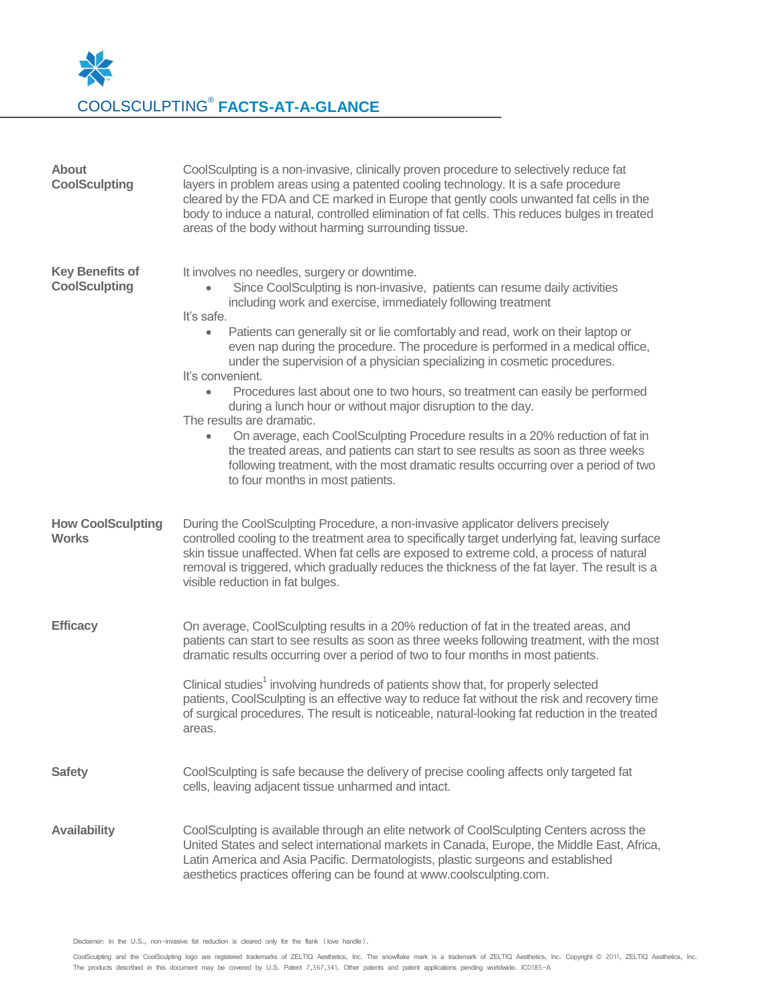

| About<br><b>CoolSculpting</b>                  | CoolSculpting is a non-invasive, clinically proven procedure to selectively reduce fat<br>layers in problem areas using a patented cooling technology. It is a safe procedure<br>cleared by the FDA and CE marked in Europe that gently cools unwanted fat cells in the<br>body to induce a natural, controlled elimination of fat cells. This reduces bulges in treated<br>areas of the body without harming surrounding tissue.                                                                                                                                                                                                                                                                                                                                                                                                                                                                                                                                    |
|------------------------------------------------|----------------------------------------------------------------------------------------------------------------------------------------------------------------------------------------------------------------------------------------------------------------------------------------------------------------------------------------------------------------------------------------------------------------------------------------------------------------------------------------------------------------------------------------------------------------------------------------------------------------------------------------------------------------------------------------------------------------------------------------------------------------------------------------------------------------------------------------------------------------------------------------------------------------------------------------------------------------------|
| <b>Key Benefits of</b><br><b>CoolSculpting</b> | It involves no needles, surgery or downtime.<br>Since CoolSculpting is non-invasive, patients can resume daily activities<br>including work and exercise, immediately following treatment<br>It's safe.<br>Patients can generally sit or lie comfortably and read, work on their laptop or<br>$\bullet$<br>even nap during the procedure. The procedure is performed in a medical office,<br>under the supervision of a physician specializing in cosmetic procedures.<br>It's convenient.<br>Procedures last about one to two hours, so treatment can easily be performed<br>during a lunch hour or without major disruption to the day.<br>The results are dramatic.<br>On average, each CoolSculpting Procedure results in a 20% reduction of fat in<br>the treated areas, and patients can start to see results as soon as three weeks<br>following treatment, with the most dramatic results occurring over a period of two<br>to four months in most patients. |
| <b>How CoolSculpting</b><br><b>Works</b>       | During the CoolSculpting Procedure, a non-invasive applicator delivers precisely<br>controlled cooling to the treatment area to specifically target underlying fat, leaving surface<br>skin tissue unaffected. When fat cells are exposed to extreme cold, a process of natural<br>removal is triggered, which gradually reduces the thickness of the fat layer. The result is a<br>visible reduction in fat bulges.                                                                                                                                                                                                                                                                                                                                                                                                                                                                                                                                                 |
| <b>Efficacy</b>                                | On average, CoolSculpting results in a 20% reduction of fat in the treated areas, and<br>patients can start to see results as soon as three weeks following treatment, with the most<br>dramatic results occurring over a period of two to four months in most patients.<br>Clinical studies <sup>1</sup> involving hundreds of patients show that, for properly selected<br>patients, CoolSculpting is an effective way to reduce fat without the risk and recovery time<br>of surgical procedures. The result is noticeable, natural-looking fat reduction in the treated<br>areas.                                                                                                                                                                                                                                                                                                                                                                                |
| <b>Safety</b>                                  | CoolSculpting is safe because the delivery of precise cooling affects only targeted fat<br>cells, leaving adjacent tissue unharmed and intact.                                                                                                                                                                                                                                                                                                                                                                                                                                                                                                                                                                                                                                                                                                                                                                                                                       |
| <b>Availability</b>                            | CoolSculpting is available through an elite network of CoolSculpting Centers across the<br>United States and select international markets in Canada, Europe, the Middle East, Africa,<br>Latin America and Asia Pacific. Dermatologists, plastic surgeons and established<br>aesthetics practices offering can be found at www.coolsculpting.com.                                                                                                                                                                                                                                                                                                                                                                                                                                                                                                                                                                                                                    |

Disclaimer: In the U.S., non-invasive fat reduction is cleared only for the flank (love handle).